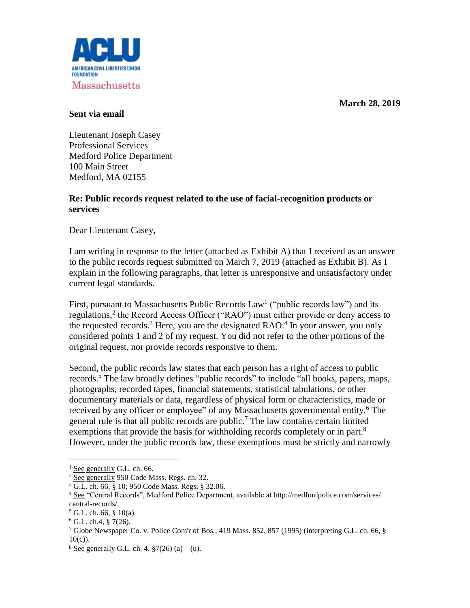**March 28, 2019**



## **Sent via email**

Lieutenant Joseph Casey Professional Services Medford Police Department 100 Main Street Medford, MA 02155

## **Re: Public records request related to the use of facial-recognition products or services**

Dear Lieutenant Casey,

I am writing in response to the letter (attached as Exhibit A) that I received as an answer to the public records request submitted on March 7, 2019 (attached as Exhibit B). As I explain in the following paragraphs, that letter is unresponsive and unsatisfactory under current legal standards.

First, pursuant to Massachusetts Public Records Law<sup>1</sup> ("public records law") and its regulations, 2 the Record Access Officer ("RAO") must either provide or deny access to the requested records.<sup>3</sup> Here, you are the designated RAO.<sup>4</sup> In your answer, you only considered points 1 and 2 of my request. You did not refer to the other portions of the original request, nor provide records responsive to them.

Second, the public records law states that each person has a right of access to public records.<sup>5</sup> The law broadly defines "public records" to include "all books, papers, maps, photographs, recorded tapes, financial statements, statistical tabulations, or other documentary materials or data, regardless of physical form or characteristics, made or received by any officer or employee" of any Massachusetts governmental entity.<sup>6</sup> The general rule is that all public records are public.<sup>7</sup> The law contains certain limited exemptions that provide the basis for withholding records completely or in part.<sup>8</sup> However, under the public records law, these exemptions must be strictly and narrowly

 $\overline{a}$ 

 $1$  See generally G.L. ch. 66.

 $2 \overline{\text{See}$  generally 950 Code Mass. Regs. ch. 32.

<sup>3</sup> G.L. ch. 66, § 10; 950 Code Mass. Regs. § 32.06.

<sup>4</sup> See "Central Records", Medford Police Department, available at http://medfordpolice.com/services/ central-records/.

 $5$  G.L. ch. 66, § 10(a).

 $6$  G.L. ch.4, § 7(26).

<sup>&</sup>lt;sup>7</sup> Globe Newspaper Co. v. Police Com'r of Bos., 419 Mass. 852, 857 (1995) (interpreting G.L. ch. 66,  $\S$ 10(c)).

<sup>&</sup>lt;sup>8</sup> See generally G.L. ch. 4,  $\sqrt[5]{26}$  (a) – (u).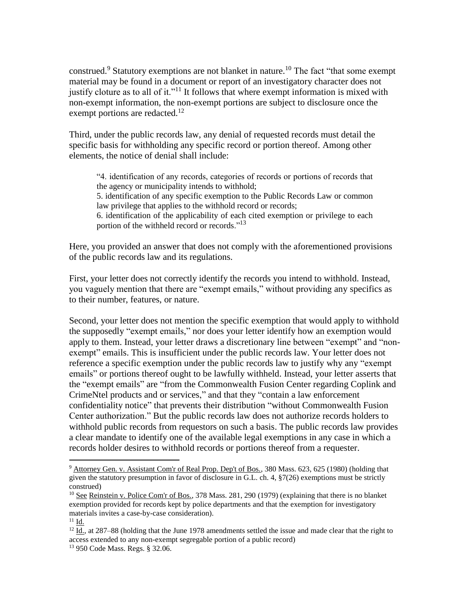construed.<sup>9</sup> Statutory exemptions are not blanket in nature.<sup>10</sup> The fact "that some exempt material may be found in a document or report of an investigatory character does not justify cloture as to all of it."<sup>11</sup> It follows that where exempt information is mixed with non-exempt information, the non-exempt portions are subject to disclosure once the exempt portions are redacted.<sup>12</sup>

Third, under the public records law, any denial of requested records must detail the specific basis for withholding any specific record or portion thereof. Among other elements, the notice of denial shall include:

"4. identification of any records, categories of records or portions of records that the agency or municipality intends to withhold;

5. identification of any specific exemption to the Public Records Law or common law privilege that applies to the withhold record or records;

6. identification of the applicability of each cited exemption or privilege to each portion of the withheld record or records."<sup>13</sup>

Here, you provided an answer that does not comply with the aforementioned provisions of the public records law and its regulations.

First, your letter does not correctly identify the records you intend to withhold. Instead, you vaguely mention that there are "exempt emails," without providing any specifics as to their number, features, or nature.

Second, your letter does not mention the specific exemption that would apply to withhold the supposedly "exempt emails," nor does your letter identify how an exemption would apply to them. Instead, your letter draws a discretionary line between "exempt" and "nonexempt" emails. This is insufficient under the public records law. Your letter does not reference a specific exemption under the public records law to justify why any "exempt emails" or portions thereof ought to be lawfully withheld. Instead, your letter asserts that the "exempt emails" are "from the Commonwealth Fusion Center regarding Coplink and CrimeNtel products and or services," and that they "contain a law enforcement confidentiality notice" that prevents their distribution "without Commonwealth Fusion Center authorization." But the public records law does not authorize records holders to withhold public records from requestors on such a basis. The public records law provides a clear mandate to identify one of the available legal exemptions in any case in which a records holder desires to withhold records or portions thereof from a requester.

 $\overline{a}$ 

<sup>&</sup>lt;sup>9</sup> Attorney Gen. v. Assistant Com'r of Real Prop. Dep't of Bos., 380 Mass. 623, 625 (1980) (holding that given the statutory presumption in favor of disclosure in G.L. ch. 4, §7(26) exemptions must be strictly construed)

<sup>&</sup>lt;sup>10</sup> See Reinstein v. Police Com'r of Bos., 378 Mass. 281, 290 (1979) (explaining that there is no blanket exemption provided for records kept by police departments and that the exemption for investigatory materials invites a case-by-case consideration).

 $11$  Id.

 $12$  Id., at 287–88 (holding that the June 1978 amendments settled the issue and made clear that the right to access extended to any non-exempt segregable portion of a public record)

<sup>13</sup> 950 Code Mass. Regs. § 32.06.